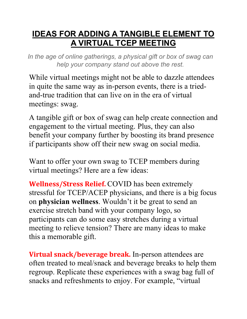## **IDEAS FOR ADDING A TANGIBLE ELEMENT TO A VIRTUAL TCEP MEETING**

*In the age of online gatherings, a physical gift or box of swag can help your company stand out above the rest.*

While virtual meetings might not be able to dazzle attendees in quite the same way as in-person events, there is a triedand-true tradition that can live on in the era of virtual meetings: swag.

A tangible gift or box of swag can help create connection and engagement to the virtual meeting. Plus, they can also benefit your company further by boosting its brand presence if participants show off their new swag on social media.

Want to offer your own swag to TCEP members during virtual meetings? Here are a few ideas:

**Wellness/Stress Relief.** COVID has been extremely stressful for TCEP/ACEP physicians, and there is a big focus on **physician wellness**. Wouldn't it be great to send an exercise stretch band with your company logo, so participants can do some easy stretches during a virtual meeting to relieve tension? There are many ideas to make this a memorable gift.

**Virtual snack/beverage break.** In-person attendees are often treated to meal/snack and beverage breaks to help them regroup. Replicate these experiences with a swag bag full of snacks and refreshments to enjoy. For example, "virtual